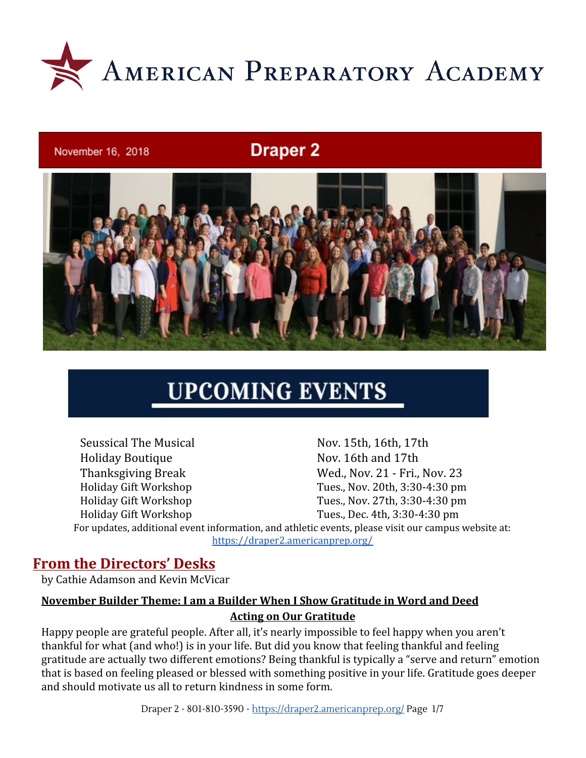

#### November 16, 2018

## **Draper 2**



# **UPCOMING EVENTS**

Seussical The Musical Nov. 15th, 16th, 17th Holiday Boutique Nov. 16th and 17th Thanksgiving Break Wed., Nov. 21 - Fri., Nov. 23 Holiday Gift Workshop Tues., Nov. 20th, 3:30-4:30 pm Holiday Gift Workshop Tues., Nov. 27th, 3:30-4:30 pm Holiday Gift Workshop Tues., Dec. 4th, 3:30-4:30 pm For updates, additional event information, and athletic events, please visit our campus website at: <https://draper2.americanprep.org/>

#### **From the Directors' Desks**

by Cathie Adamson and Kevin McVicar

#### **November Builder Theme: I am a Builder When I Show Gratitude in Word and Deed Acting on Our Gratitude**

Happy people are grateful people. After all, it's nearly impossible to feel happy when you aren't thankful for what (and who!) is in your life. But did you know that feeling thankful and feeling gratitude are actually two different emotions? Being thankful is typically a "serve and return" emotion that is based on feeling pleased or blessed with something positive in your life. Gratitude goes deeper and should motivate us all to return kindness in some form.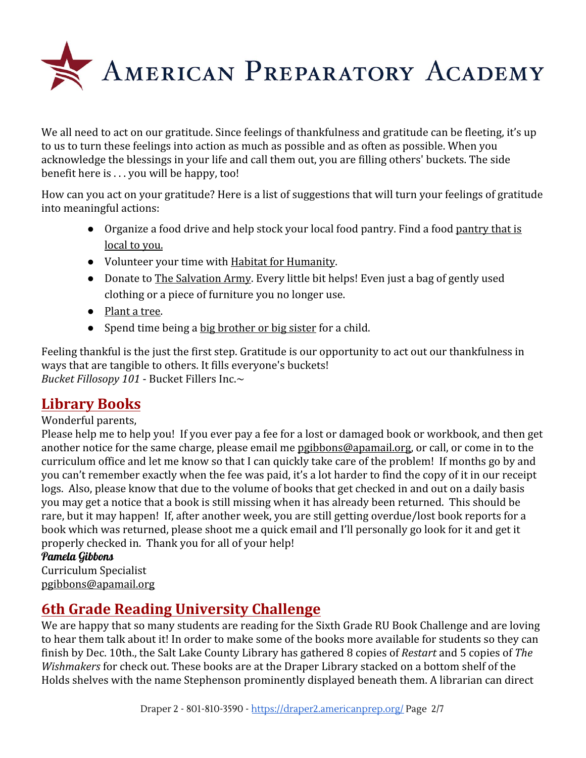

We all need to act on our gratitude. Since feelings of thankfulness and gratitude can be fleeting, it's up to us to turn these feelings into action as much as possible and as often as possible. When you acknowledge the blessings in your life and call them out, you are filling others' buckets. The side benefit here is . . . you will be happy, too!

How can you act on your gratitude? Here is a list of suggestions that will turn your feelings of gratitude into meaningful actions:

- Organize a food drive and help stock your local food pantry. Find a food [pantry that is](http://r20.rs6.net/tn.jsp?f=0011kT9CvYn9v5fORQOeB9l7ZrMlVMZXyiT_v2AFCGS5-je8jkAYvX4vS2NYh2mJjTPmWyf-tdRpHEvwBfBozfNV2W9-Vb1_s9iCIoCA25Vjo_-T-Rq8fLOYw2xZR5IT_LGGPCOoZXM8tFfBrSIpGIi8w==&c=ejOcNzbhcseXtx1JB8izy1FXbX3ORyBLZP6NwhO0Fmd1TBLyhqpAzA==&ch=EugwJWQkmXh4Q8OocR70AKX2mo6MD-WNcrBCEZ8TyI7UQvQuYq3uHg==) [local to you.](http://r20.rs6.net/tn.jsp?f=0011kT9CvYn9v5fORQOeB9l7ZrMlVMZXyiT_v2AFCGS5-je8jkAYvX4vS2NYh2mJjTPmWyf-tdRpHEvwBfBozfNV2W9-Vb1_s9iCIoCA25Vjo_-T-Rq8fLOYw2xZR5IT_LGGPCOoZXM8tFfBrSIpGIi8w==&c=ejOcNzbhcseXtx1JB8izy1FXbX3ORyBLZP6NwhO0Fmd1TBLyhqpAzA==&ch=EugwJWQkmXh4Q8OocR70AKX2mo6MD-WNcrBCEZ8TyI7UQvQuYq3uHg==)
- Volunteer your time with [Habitat for Humanity](http://r20.rs6.net/tn.jsp?f=0011kT9CvYn9v5fORQOeB9l7ZrMlVMZXyiT_v2AFCGS5-je8jkAYvX4vS2NYh2mJjTPxt6e4PNzlNo52nqeHlzMFyOgKiW0kn5J0RJIJfYfiCNIzTHvp6QWhVh-i79XT1Wzu1ILZzGRzrJumt3oJKzyAUKNoG7Ccm1U&c=ejOcNzbhcseXtx1JB8izy1FXbX3ORyBLZP6NwhO0Fmd1TBLyhqpAzA==&ch=EugwJWQkmXh4Q8OocR70AKX2mo6MD-WNcrBCEZ8TyI7UQvQuYq3uHg==).
- Donate to [The Salvation Army](http://r20.rs6.net/tn.jsp?f=0011kT9CvYn9v5fORQOeB9l7ZrMlVMZXyiT_v2AFCGS5-je8jkAYvX4vS2NYh2mJjTPBMV6t1WZRWnHicmmfF0D0UkLNeO7mqsGfx5U90p2UPx9SzLjaVgfdGdEeXtcU8GnyBhbeuZYd0RugMvTfarFKh8bOicZSmHG&c=ejOcNzbhcseXtx1JB8izy1FXbX3ORyBLZP6NwhO0Fmd1TBLyhqpAzA==&ch=EugwJWQkmXh4Q8OocR70AKX2mo6MD-WNcrBCEZ8TyI7UQvQuYq3uHg==). Every little bit helps! Even just a bag of gently used clothing or a piece of furniture you no longer use.
- [Plant a tree.](http://r20.rs6.net/tn.jsp?f=0011kT9CvYn9v5fORQOeB9l7ZrMlVMZXyiT_v2AFCGS5-je8jkAYvX4vS2NYh2mJjTP35pZnso4kD0qIdvjdpS23jP_6zh98iLMCRIBmOA1ZF5qh24QfuNkZc2hROcPcRnK4w9gpBhQOZCuzN9jMbj8iS5ZdvMM-5KiPMjjAMD4jbA=&c=ejOcNzbhcseXtx1JB8izy1FXbX3ORyBLZP6NwhO0Fmd1TBLyhqpAzA==&ch=EugwJWQkmXh4Q8OocR70AKX2mo6MD-WNcrBCEZ8TyI7UQvQuYq3uHg==)
- Spend time being a [big brother or big sister](http://r20.rs6.net/tn.jsp?f=0011kT9CvYn9v5fORQOeB9l7ZrMlVMZXyiT_v2AFCGS5-je8jkAYvX4vS2NYh2mJjTPUmH2PfDtR2eQH0yBI98PizeBUl66e_PDVXPKdC8PJR3ar-9Lzf6_QFsmQjCpvLKplDpsX7vzHR8=&c=ejOcNzbhcseXtx1JB8izy1FXbX3ORyBLZP6NwhO0Fmd1TBLyhqpAzA==&ch=EugwJWQkmXh4Q8OocR70AKX2mo6MD-WNcrBCEZ8TyI7UQvQuYq3uHg==) for a child.

Feeling thankful is the just the first step. Gratitude is our opportunity to act out our thankfulness in ways that are tangible to others. It fills everyone's buckets! *Bucket Fillosopy 101* - Bucket Fillers Inc.~

## **Library Books**

#### Wonderful parents,

Please help me to help you! If you ever pay a fee for a lost or damaged book or workbook, and then get another notice for the same charge, please email me [pgibbons@apamail.org,](mailto:pgibbons@apamail.org) or call, or come in to the curriculum office and let me know so that I can quickly take care of the problem! If months go by and you can't remember exactly when the fee was paid, it's a lot harder to find the copy of it in our receipt logs. Also, please know that due to the volume of books that get checked in and out on a daily basis you may get a notice that a book is still missing when it has already been returned. This should be rare, but it may happen! If, after another week, you are still getting overdue/lost book reports for a book which was returned, please shoot me a quick email and I'll personally go look for it and get it properly checked in. Thank you for all of your help!

#### Pamela Gibbons

Curriculum Specialist [pgibbons@apamail.org](mailto:pgibbons@apamail.org)

## **6th Grade Reading University Challenge**

We are happy that so many students are reading for the Sixth Grade RU Book Challenge and are loving to hear them talk about it! In order to make some of the books more available for students so they can finish by Dec. 10th., the Salt Lake County Library has gathered 8 copies of *Restart* and 5 copies of *The Wishmakers* for check out. These books are at the Draper Library stacked on a bottom shelf of the Holds shelves with the name Stephenson prominently displayed beneath them. A librarian can direct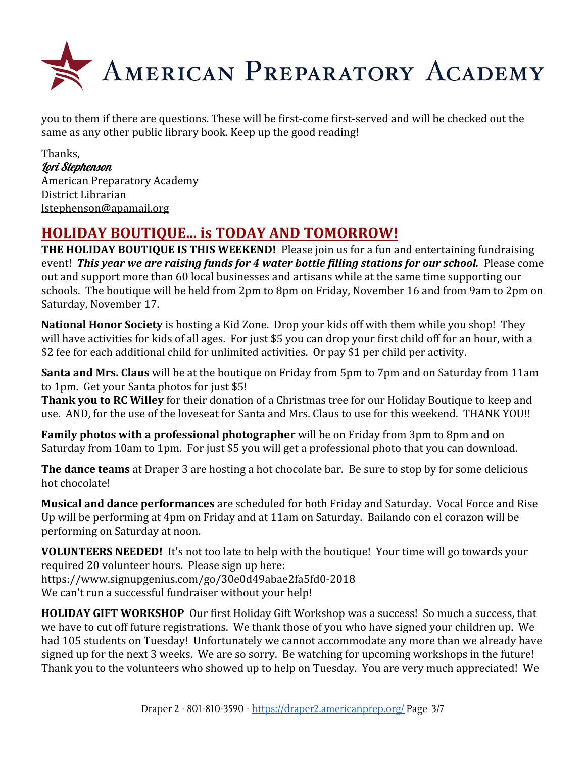

you to them if there are questions. These will be first-come first-served and will be checked out the same as any other public library book. Keep up the good reading!

Thanks, Lori Stephenson American Preparatory Academy District Librarian [lstephenson@apamail.org](mailto:lstephenson@apamail.org)

## **HOLIDAY BOUTIQUE... is TODAY AND TOMORROW!**

**THE HOLIDAY BOUTIQUE IS THIS WEEKEND!** Please join us for a fun and entertaining fundraising event! *This year we are raising funds for 4 water bottle filling stations for our school.* Please come out and support more than 60 local businesses and artisans while at the same time supporting our schools. The boutique will be held from 2pm to 8pm on Friday, November 16 and from 9am to 2pm on Saturday, November 17.

**National Honor Society** is hosting a Kid Zone. Drop your kids off with them while you shop! They will have activities for kids of all ages. For just \$5 you can drop your first child off for an hour, with a \$2 fee for each additional child for unlimited activities. Or pay \$1 per child per activity.

**Santa and Mrs. Claus** will be at the boutique on Friday from 5pm to 7pm and on Saturday from 11am to 1pm. Get your Santa photos for just \$5!

**Thank you to RC Willey** for their donation of a Christmas tree for our Holiday Boutique to keep and use. AND, for the use of the loveseat for Santa and Mrs. Claus to use for this weekend. THANK YOU!!

**Family photos with a professional photographer** will be on Friday from 3pm to 8pm and on Saturday from 10am to 1pm. For just \$5 you will get a professional photo that you can download.

**The dance teams** at Draper 3 are hosting a hot chocolate bar. Be sure to stop by for some delicious hot chocolate!

**Musical and dance performances** are scheduled for both Friday and Saturday. Vocal Force and Rise Up will be performing at 4pm on Friday and at 11am on Saturday. Bailando con el corazon will be performing on Saturday at noon.

**VOLUNTEERS NEEDED!** It's not too late to help with the boutique! Your time will go towards your required 20 volunteer hours. Please sign up here: <https://www.signupgenius.com/go/30e0d49abae2fa5fd0-2018> We can't run a successful fundraiser without your help!

**HOLIDAY GIFT WORKSHOP** Our first Holiday Gift Workshop was a success! So much a success, that we have to cut off future registrations. We thank those of you who have signed your children up. We had 105 students on Tuesday! Unfortunately we cannot accommodate any more than we already have signed up for the next 3 weeks. We are so sorry. Be watching for upcoming workshops in the future! Thank you to the volunteers who showed up to help on Tuesday. You are very much appreciated! We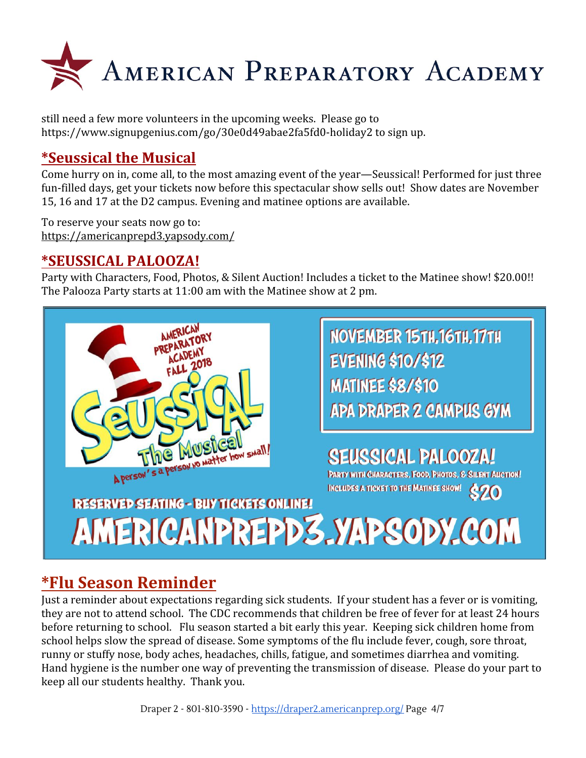

still need a few more volunteers in the upcoming weeks. Please go to <https://www.signupgenius.com/go/30e0d49abae2fa5fd0-holiday2> to sign up.

## **\*Seussical the Musical**

Come hurry on in, come all, to the most amazing event of the year—Seussical! Performed for just three fun-filled days, get your tickets now before this spectacular show sells out! Show dates are November 15, 16 and 17 at the D2 campus. Evening and matinee options are available.

To reserve your seats now go to: <https://americanprepd3.yapsody.com/>

#### **\*SEUSSICAL PALOOZA!**

Party with Characters, Food, Photos, & Silent Auction! Includes a ticket to the Matinee show! \$20.00!! The Palooza Party starts at 11:00 am with the Matinee show at 2 pm.



NOVEMBER 15TH.16TH.17TH **EVENING \$10/\$12 MATINEE \$8/\$10 APA DRAPER 2 CAMPUS GYM** 

## **SEUSSICAL PALOOZA!**

**PARTY WITH CHARACTERS, FOOD, PHOTOS, & SILENT AUCTION!** INCLUDES A TICKET TO THE MATINEE SHOW! \$20

# **RESERVED SEATING - BUY TICKETS ONLINE!** AMERICANPREPD3.YAPSODY.COM

## **\*Flu Season Reminder**

Just a reminder about expectations regarding sick students. If your student has a fever or is vomiting, they are not to attend school. The CDC recommends that children be free of fever for at least 24 hours before returning to school. Flu season started a bit early this year. Keeping sick children home from school helps slow the spread of disease. Some symptoms of the flu include fever, cough, sore throat, runny or stuffy nose, body aches, headaches, chills, fatigue, and sometimes diarrhea and vomiting. Hand hygiene is the number one way of preventing the transmission of disease. Please do your part to keep all our students healthy. Thank you.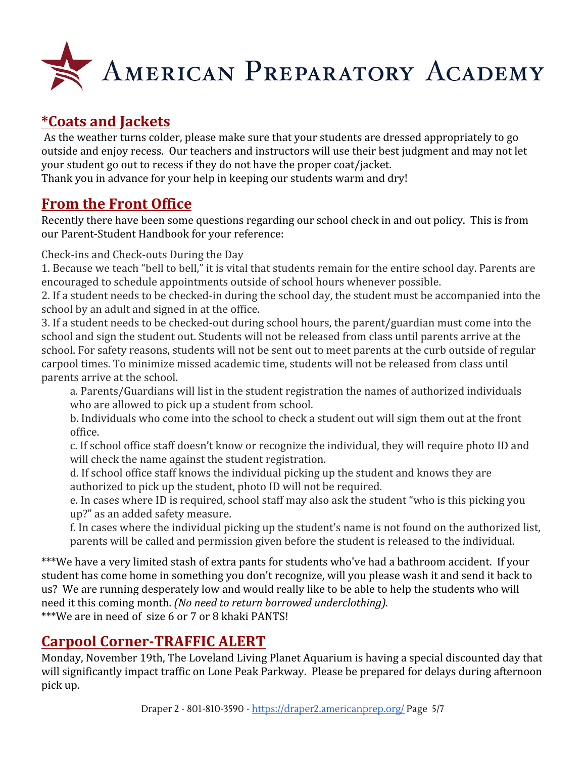

## **\*Coats and Jackets**

As the weather turns colder, please make sure that your students are dressed appropriately to go outside and enjoy recess. Our teachers and instructors will use their best judgment and may not let your student go out to recess if they do not have the proper coat/jacket. Thank you in advance for your help in keeping our students warm and dry!

#### **From the Front Office**

Recently there have been some questions regarding our school check in and out policy. This is from our Parent-Student Handbook for your reference:

Check-ins and Check-outs During the Day

1. Because we teach "bell to bell," it is vital that students remain for the entire school day. Parents are encouraged to schedule appointments outside of school hours whenever possible.

2. If a student needs to be checked-in during the school day, the student must be accompanied into the school by an adult and signed in at the office.

3. If a student needs to be checked-out during school hours, the parent/guardian must come into the school and sign the student out. Students will not be released from class until parents arrive at the school. For safety reasons, students will not be sent out to meet parents at the curb outside of regular carpool times. To minimize missed academic time, students will not be released from class until parents arrive at the school.

a. Parents/Guardians will list in the student registration the names of authorized individuals who are allowed to pick up a student from school.

b. Individuals who come into the school to check a student out will sign them out at the front office.

c. If school office staff doesn't know or recognize the individual, they will require photo ID and will check the name against the student registration.

d. If school office staff knows the individual picking up the student and knows they are authorized to pick up the student, photo ID will not be required.

e. In cases where ID is required, school staff may also ask the student "who is this picking you up?" as an added safety measure.

f. In cases where the individual picking up the student's name is not found on the authorized list, parents will be called and permission given before the student is released to the individual.

\*\*\*We have a very limited stash of extra pants for students who've had a bathroom accident. If your student has come home in something you don't recognize, will you please wash it and send it back to us? We are running desperately low and would really like to be able to help the students who will need it this coming month. *(No need to return borrowed underclothing).* \*\*\*We are in need of size 6 or 7 or 8 khaki PANTS!

## **Carpool Corner-TRAFFIC ALERT**

Monday, November 19th, The Loveland Living Planet Aquarium is having a special discounted day that will significantly impact traffic on Lone Peak Parkway. Please be prepared for delays during afternoon pick up.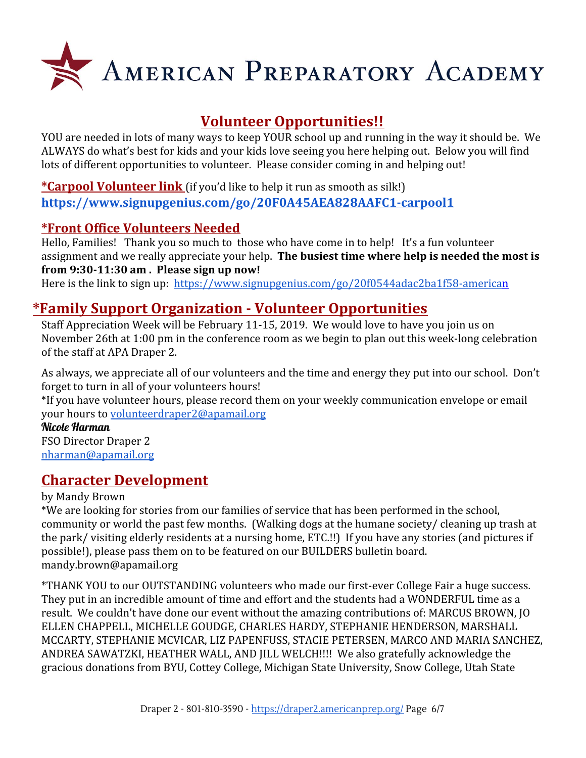

## **Volunteer Opportunities!!**

YOU are needed in lots of many ways to keep YOUR school up and running in the way it should be. We ALWAYS do what's best for kids and your kids love seeing you here helping out. Below you will find lots of different opportunities to volunteer. Please consider coming in and helping out!

**\*Carpool Volunteer link** (if you'd like to help it run as smooth as silk!) **<https://www.signupgenius.com/go/20F0A45AEA828AAFC1-carpool1>**

#### **\*Front Office Volunteers Needed**

Hello, Families! Thank you so much to those who have come in to help! It's a fun volunteer assignment and we really appreciate your help. **The busiest time where help is needed the most is from 9:30-11:30 am . Please sign up now!**

Here is the link to sign up: <https://www.signupgenius.com/go/20f0544adac2ba1f58-american>

## **\*Family Support Organization - Volunteer Opportunities**

Staff Appreciation Week will be February 11-15, 2019. We would love to have you join us on November 26th at 1:00 pm in the conference room as we begin to plan out this week-long celebration of the staff at APA Draper 2.

As always, we appreciate all of our volunteers and the time and energy they put into our school. Don't forget to turn in all of your volunteers hours!

\*If you have volunteer hours, please record them on your weekly communication envelope or email your hours to [volunteerdraper2@apamail.org](mailto:volunteerdraper2@apamail.org)

#### Nicole Harman

FSO Director Draper 2 [nharman@apamail.org](mailto:nharman@apamail.org)

## **Character Development**

#### by Mandy Brown

\*We are looking for stories from our families of service that has been performed in the school, community or world the past few months. (Walking dogs at the humane society/ cleaning up trash at the park/ visiting elderly residents at a nursing home, ETC.!!) If you have any stories (and pictures if possible!), please pass them on to be featured on our BUILDERS bulletin board. mandy.brown@apamail.org

\*THANK YOU to our OUTSTANDING volunteers who made our first-ever College Fair a huge success. They put in an incredible amount of time and effort and the students had a WONDERFUL time as a result. We couldn't have done our event without the amazing contributions of: MARCUS BROWN, JO ELLEN CHAPPELL, MICHELLE GOUDGE, CHARLES HARDY, STEPHANIE HENDERSON, MARSHALL MCCARTY, STEPHANIE MCVICAR, LIZ PAPENFUSS, STACIE PETERSEN, MARCO AND MARIA SANCHEZ, ANDREA SAWATZKI, HEATHER WALL, AND JILL WELCH!!!! We also gratefully acknowledge the gracious donations from BYU, Cottey College, Michigan State University, Snow College, Utah State